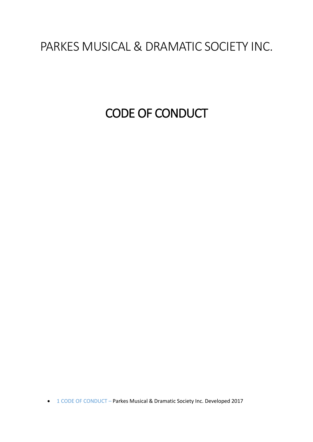# PARKES MUSICAL & DRAMATIC SOCIETY INC.

CODE OF CONDUCT

• 1 CODE OF CONDUCT – Parkes Musical & Dramatic Society Inc. Developed 2017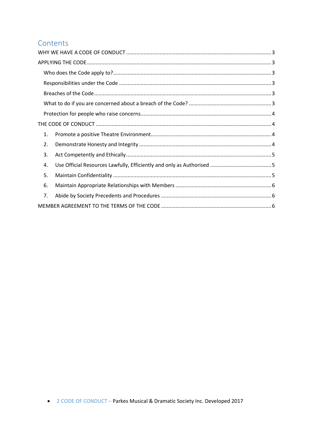# Contents

| 1. |  |
|----|--|
| 2. |  |
| 3. |  |
| 4. |  |
| 5. |  |
| 6. |  |
| 7. |  |
|    |  |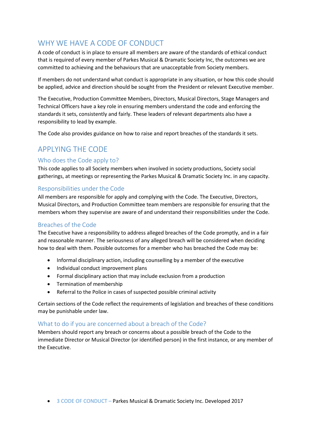# <span id="page-2-0"></span>WHY WE HAVE A CODE OF CONDUCT

A code of conduct is in place to ensure all members are aware of the standards of ethical conduct that is required of every member of Parkes Musical & Dramatic Society Inc, the outcomes we are committed to achieving and the behaviours that are unacceptable from Society members.

If members do not understand what conduct is appropriate in any situation, or how this code should be applied, advice and direction should be sought from the President or relevant Executive member.

The Executive, Production Committee Members, Directors, Musical Directors, Stage Managers and Technical Officers have a key role in ensuring members understand the code and enforcing the standards it sets, consistently and fairly. These leaders of relevant departments also have a responsibility to lead by example.

The Code also provides guidance on how to raise and report breaches of the standards it sets.

# <span id="page-2-1"></span>APPLYING THE CODE

## <span id="page-2-2"></span>Who does the Code apply to?

This code applies to all Society members when involved in society productions, Society social gatherings, at meetings or representing the Parkes Musical & Dramatic Society Inc. in any capacity.

## <span id="page-2-3"></span>Responsibilities under the Code

All members are responsible for apply and complying with the Code. The Executive, Directors, Musical Directors, and Production Committee team members are responsible for ensuring that the members whom they supervise are aware of and understand their responsibilities under the Code.

## <span id="page-2-4"></span>Breaches of the Code

The Executive have a responsibility to address alleged breaches of the Code promptly, and in a fair and reasonable manner. The seriousness of any alleged breach will be considered when deciding how to deal with them. Possible outcomes for a member who has breached the Code may be:

- Informal disciplinary action, including counselling by a member of the executive
- Individual conduct improvement plans
- Formal disciplinary action that may include exclusion from a production
- **•** Termination of membership
- Referral to the Police in cases of suspected possible criminal activity

Certain sections of the Code reflect the requirements of legislation and breaches of these conditions may be punishable under law.

### <span id="page-2-5"></span>What to do if you are concerned about a breach of the Code?

Members should report any breach or concerns about a possible breach of the Code to the immediate Director or Musical Director (or identified person) in the first instance, or any member of the Executive.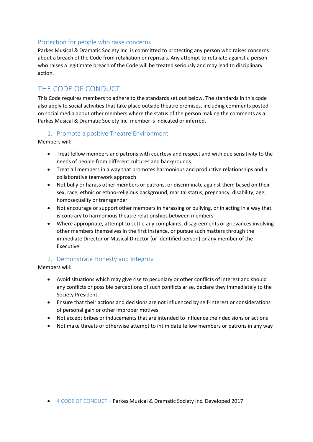## <span id="page-3-0"></span>Protection for people who raise concerns

Parkes Musical & Dramatic Society Inc. is committed to protecting any person who raises concerns about a breach of the Code from retaliation or reprisals. Any attempt to retaliate against a person who raises a legitimate breach of the Code will be treated seriously and may lead to disciplinary action.

## <span id="page-3-1"></span>THE CODE OF CONDUCT

This Code requires members to adhere to the standards set out below. The standards in this code also apply to social activities that take place outside theatre premises, including comments posted on social media about other members where the status of the person making the comments as a Parkes Musical & Dramatic Society Inc. member is indicated or inferred.

## 1. Promote a positive Theatre Environment

<span id="page-3-2"></span>Members will:

- Treat fellow members and patrons with courtesy and respect and with due sensitivity to the needs of people from different cultures and backgrounds
- Treat all members in a way that promotes harmonious and productive relationships and a collaborative teamwork approach
- Not bully or harass other members or patrons, or discriminate against them based on their sex, race, ethnic or ethno-religious background, marital status, pregnancy, disability, age, homosexuality or transgender
- Not encourage or support other members in harassing or bullying, or in acting in a way that is contrary to harmonious theatre relationships between members
- Where appropriate, attempt to settle any complaints, disagreements or grievances involving other members themselves in the first instance, or pursue such matters through the immediate Director or Musical Director (or identified person) or any member of the Executive

### 2. Demonstrate Honesty and Integrity

<span id="page-3-3"></span>Members will:

- Avoid situations which may give rise to pecuniary or other conflicts of interest and should any conflicts or possible perceptions of such conflicts arise, declare they immediately to the Society President
- Ensure that their actions and decisions are not influenced by self-interest or considerations of personal gain or other improper motives
- Not accept bribes or inducements that are intended to influence their decisions or actions
- Not make threats or otherwise attempt to intimidate fellow members or patrons in any way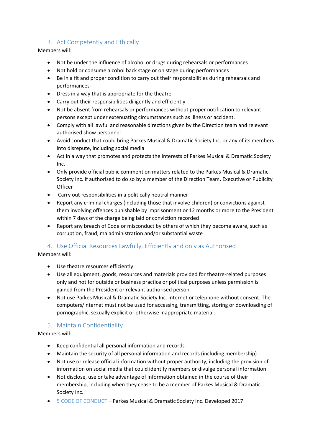## <span id="page-4-0"></span>3. Act Competently and Ethically

Members will:

- Not be under the influence of alcohol or drugs during rehearsals or performances
- Not hold or consume alcohol back stage or on stage during performances
- Be in a fit and proper condition to carry out their responsibilities during rehearsals and performances
- Dress in a way that is appropriate for the theatre
- Carry out their responsibilities diligently and efficiently
- Not be absent from rehearsals or performances without proper notification to relevant persons except under extenuating circumstances such as illness or accident.
- Comply with all lawful and reasonable directions given by the Direction team and relevant authorised show personnel
- Avoid conduct that could bring Parkes Musical & Dramatic Society Inc. or any of its members into disrepute, including social media
- Act in a way that promotes and protects the interests of Parkes Musical & Dramatic Society Inc.
- Only provide official public comment on matters related to the Parkes Musical & Dramatic Society Inc. if authorised to do so by a member of the Direction Team, Executive or Publicity **Officer**
- Carry out responsibilities in a politically neutral manner
- Report any criminal charges (including those that involve children) or convictions against them involving offences punishable by imprisonment or 12 months or more to the President within 7 days of the charge being laid or conviction recorded
- Report any breach of Code or misconduct by others of which they become aware, such as corruption, fraud, maladministration and/or substantial waste

## 4. Use Official Resources Lawfully, Efficiently and only as Authorised

<span id="page-4-1"></span>Members will:

- Use theatre resources efficiently
- Use all equipment, goods, resources and materials provided for theatre-related purposes only and not for outside or business practice or political purposes unless permission is gained from the President or relevant authorised person
- Not use Parkes Musical & Dramatic Society Inc. internet or telephone without consent. The computers/internet must not be used for accessing, transmitting, storing or downloading of pornographic, sexually explicit or otherwise inappropriate material.

## 5. Maintain Confidentiality

<span id="page-4-2"></span>Members will:

- Keep confidential all personal information and records
- Maintain the security of all personal information and records (including membership)
- Not use or release official information without proper authority, including the provision of information on social media that could identify members or divulge personal information
- Not disclose, use or take advantage of information obtained in the course of their membership, including when they cease to be a member of Parkes Musical & Dramatic Society Inc.
- 5 CODE OF CONDUCT Parkes Musical & Dramatic Society Inc. Developed 2017